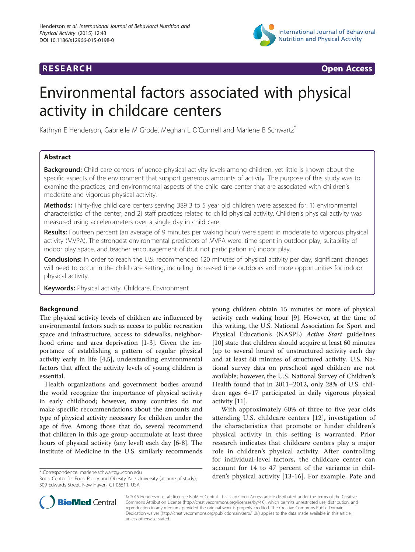



# Environmental factors associated with physical activity in childcare centers

Kathryn E Henderson, Gabrielle M Grode, Meghan L O'Connell and Marlene B Schwartz<sup>\*</sup>

# Abstract

Background: Child care centers influence physical activity levels among children, yet little is known about the specific aspects of the environment that support generous amounts of activity. The purpose of this study was to examine the practices, and environmental aspects of the child care center that are associated with children's moderate and vigorous physical activity.

Methods: Thirty-five child care centers serving 389 3 to 5 year old children were assessed for: 1) environmental characteristics of the center; and 2) staff practices related to child physical activity. Children's physical activity was measured using accelerometers over a single day in child care.

Results: Fourteen percent (an average of 9 minutes per waking hour) were spent in moderate to vigorous physical activity (MVPA). The strongest environmental predictors of MVPA were: time spent in outdoor play, suitability of indoor play space, and teacher encouragement of (but not participation in) indoor play.

**Conclusions:** In order to reach the U.S. recommended 120 minutes of physical activity per day, significant changes will need to occur in the child care setting, including increased time outdoors and more opportunities for indoor physical activity.

Keywords: Physical activity, Childcare, Environment

# Background

The physical activity levels of children are influenced by environmental factors such as access to public recreation space and infrastructure, access to sidewalks, neighborhood crime and area deprivation [\[1-3](#page-7-0)]. Given the importance of establishing a pattern of regular physical activity early in life [\[4](#page-7-0),[5](#page-7-0)], understanding environmental factors that affect the activity levels of young children is essential.

Health organizations and government bodies around the world recognize the importance of physical activity in early childhood; however, many countries do not make specific recommendations about the amounts and type of physical activity necessary for children under the age of five. Among those that do, several recommend that children in this age group accumulate at least three hours of physical activity (any level) each day [\[6](#page-7-0)-[8\]](#page-7-0). The Institute of Medicine in the U.S. similarly recommends

young children obtain 15 minutes or more of physical activity each waking hour [[9](#page-7-0)]. However, at the time of this writing, the U.S. National Association for Sport and Physical Education's (NASPE) Active Start guidelines [[10\]](#page-7-0) state that children should acquire at least 60 minutes (up to several hours) of unstructured activity each day and at least 60 minutes of structured activity. U.S. National survey data on preschool aged children are not available; however, the U.S. National Survey of Children's Health found that in 2011–2012, only 28% of U.S. children ages 6–17 participated in daily vigorous physical activity [[11\]](#page-7-0).

With approximately 60% of three to five year olds attending U.S. childcare centers [[12\]](#page-7-0), investigation of the characteristics that promote or hinder children's physical activity in this setting is warranted. Prior research indicates that childcare centers play a major role in children's physical activity. After controlling for individual-level factors, the childcare center can account for 14 to 47 percent of the variance in children's physical activity [[13-16\]](#page-7-0). For example, Pate and \* Correspondence: [marlene.schwartz@uconn.edu](mailto:marlene.schwartz@uconn.edu)



© 2015 Henderson et al.; licensee BioMed Central. This is an Open Access article distributed under the terms of the Creative Commons Attribution License [\(http://creativecommons.org/licenses/by/4.0\)](http://creativecommons.org/licenses/by/4.0), which permits unrestricted use, distribution, and reproduction in any medium, provided the original work is properly credited. The Creative Commons Public Domain Dedication waiver [\(http://creativecommons.org/publicdomain/zero/1.0/](http://creativecommons.org/publicdomain/zero/1.0/)) applies to the data made available in this article, unless otherwise stated.

Rudd Center for Food Policy and Obesity Yale University (at time of study), 309 Edwards Street, New Haven, CT 06511, USA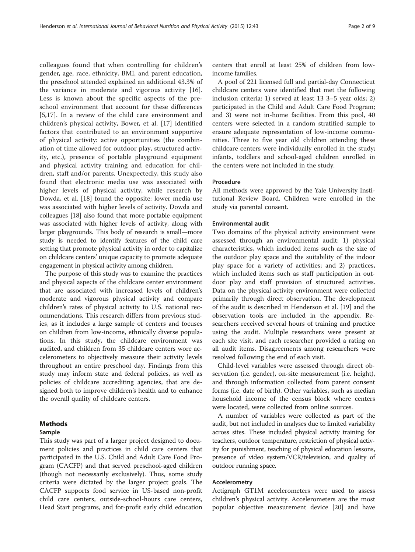colleagues found that when controlling for children's gender, age, race, ethnicity, BMI, and parent education, the preschool attended explained an additional 43.3% of the variance in moderate and vigorous activity [\[16](#page-7-0)]. Less is known about the specific aspects of the preschool environment that account for these differences [[5,17](#page-7-0)]. In a review of the child care environment and children's physical activity, Bower, et al. [[17](#page-7-0)] identified factors that contributed to an environment supportive of physical activity: active opportunities (the combination of time allowed for outdoor play, structured activity, etc.), presence of portable playground equipment and physical activity training and education for children, staff and/or parents. Unexpectedly, this study also found that electronic media use was associated with higher levels of physical activity, while research by Dowda, et al. [\[18](#page-7-0)] found the opposite: lower media use was associated with higher levels of activity. Dowda and colleagues [\[18\]](#page-7-0) also found that more portable equipment was associated with higher levels of activity, along with larger playgrounds. This body of research is small—more study is needed to identify features of the child care setting that promote physical activity in order to capitalize on childcare centers' unique capacity to promote adequate engagement in physical activity among children.

The purpose of this study was to examine the practices and physical aspects of the childcare center environment that are associated with increased levels of children's moderate and vigorous physical activity and compare children's rates of physical activity to U.S. national recommendations. This research differs from previous studies, as it includes a large sample of centers and focuses on children from low-income, ethnically diverse populations. In this study, the childcare environment was audited, and children from 35 childcare centers wore accelerometers to objectively measure their activity levels throughout an entire preschool day. Findings from this study may inform state and federal policies, as well as policies of childcare accrediting agencies, that are designed both to improve children's health and to enhance the overall quality of childcare centers.

# Methods

# Sample

This study was part of a larger project designed to document policies and practices in child care centers that participated in the U.S. Child and Adult Care Food Program (CACFP) and that served preschool-aged children (though not necessarily exclusively). Thus, some study criteria were dictated by the larger project goals. The CACFP supports food service in US-based non-profit child care centers, outside-school-hours care centers, Head Start programs, and for-profit early child education centers that enroll at least 25% of children from lowincome families.

A pool of 221 licensed full and partial-day Connecticut childcare centers were identified that met the following inclusion criteria: 1) served at least 13 3–5 year olds; 2) participated in the Child and Adult Care Food Program; and 3) were not in-home facilities. From this pool, 40 centers were selected in a random stratified sample to ensure adequate representation of low-income communities. Three to five year old children attending these childcare centers were individually enrolled in the study; infants, toddlers and school-aged children enrolled in the centers were not included in the study.

# Procedure

All methods were approved by the Yale University Institutional Review Board. Children were enrolled in the study via parental consent.

#### Environmental audit

Two domains of the physical activity environment were assessed through an environmental audit: 1) physical characteristics, which included items such as the size of the outdoor play space and the suitability of the indoor play space for a variety of activities; and 2) practices, which included items such as staff participation in outdoor play and staff provision of structured activities. Data on the physical activity environment were collected primarily through direct observation. The development of the audit is described in Henderson et al. [[19](#page-7-0)] and the observation tools are included in the appendix. Researchers received several hours of training and practice using the audit. Multiple researchers were present at each site visit, and each researcher provided a rating on all audit items. Disagreements among researchers were resolved following the end of each visit.

Child-level variables were assessed through direct observation (i.e. gender), on-site measurement (i.e. height), and through information collected from parent consent forms (i.e. date of birth). Other variables, such as median household income of the census block where centers were located, were collected from online sources.

A number of variables were collected as part of the audit, but not included in analyses due to limited variability across sites. These included physical activity training for teachers, outdoor temperature, restriction of physical activity for punishment, teaching of physical education lessons, presence of video system/VCR/television, and quality of outdoor running space.

#### Accelerometry

Actigraph GT1M accelerometers were used to assess children's physical activity. Accelerometers are the most popular objective measurement device [\[20](#page-7-0)] and have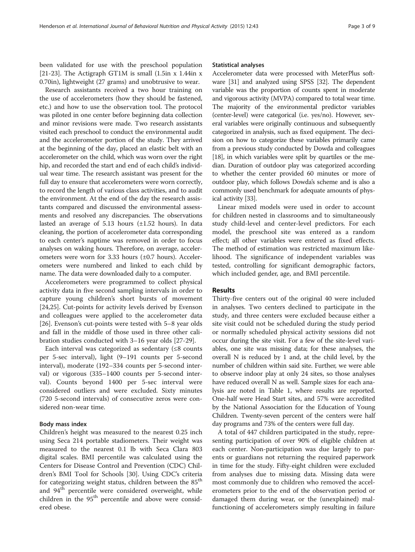been validated for use with the preschool population [[21-23](#page-7-0)]. The Actigraph GT1M is small (1.5in x 1.44in x 0.70in), lightweight (27 grams) and unobtrusive to wear.

Research assistants received a two hour training on the use of accelerometers (how they should be fastened, etc.) and how to use the observation tool. The protocol was piloted in one center before beginning data collection and minor revisions were made. Two research assistants visited each preschool to conduct the environmental audit and the accelerometer portion of the study. They arrived at the beginning of the day, placed an elastic belt with an accelerometer on the child, which was worn over the right hip, and recorded the start and end of each child's individual wear time. The research assistant was present for the full day to ensure that accelerometers were worn correctly, to record the length of various class activities, and to audit the environment. At the end of the day the research assistants compared and discussed the environmental assessments and resolved any discrepancies. The observations lasted an average of  $5.13$  hours ( $\pm 1.52$  hours). In data cleaning, the portion of accelerometer data corresponding to each center's naptime was removed in order to focus analyses on waking hours. Therefore, on average, accelerometers were worn for 3.33 hours (±0.7 hours). Accelerometers were numbered and linked to each child by name. The data were downloaded daily to a computer.

Accelerometers were programmed to collect physical activity data in five second sampling intervals in order to capture young children's short bursts of movement [[24,25\]](#page-7-0). Cut-points for activity levels derived by Evenson and colleagues were applied to the accelerometer data [[26\]](#page-7-0). Evenson's cut-points were tested with 5–8 year olds and fall in the middle of those used in three other calibration studies conducted with 3–16 year olds [[27-29](#page-7-0)].

Each interval was categorized as sedentary  $(≤8 \text{ counts})$ per 5-sec interval), light (9–191 counts per 5-second interval), moderate (192–334 counts per 5-second interval) or vigorous (335–1400 counts per 5-second interval). Counts beyond 1400 per 5-sec interval were considered outliers and were excluded. Sixty minutes (720 5-second intervals) of consecutive zeros were considered non-wear time.

## Body mass index

Children's height was measured to the nearest 0.25 inch using Seca 214 portable stadiometers. Their weight was measured to the nearest 0.1 lb with Seca Clara 803 digital scales. BMI percentile was calculated using the Centers for Disease Control and Prevention (CDC) Children's BMI Tool for Schools [[30\]](#page-7-0). Using CDC's criteria for categorizing weight status, children between the 85<sup>th</sup> and 94<sup>th</sup> percentile were considered overweight, while children in the  $95<sup>th</sup>$  percentile and above were considered obese.

#### Statistical analyses

Accelerometer data were processed with MeterPlus software [\[31](#page-7-0)] and analyzed using SPSS [\[32](#page-7-0)]. The dependent variable was the proportion of counts spent in moderate and vigorous activity (MVPA) compared to total wear time. The majority of the environmental predictor variables (center-level) were categorical (i.e. yes/no). However, several variables were originally continuous and subsequently categorized in analysis, such as fixed equipment. The decision on how to categorize these variables primarily came from a previous study conducted by Dowda and colleagues [[18](#page-7-0)], in which variables were split by quartiles or the median. Duration of outdoor play was categorized according to whether the center provided 60 minutes or more of outdoor play, which follows Dowda's scheme and is also a commonly used benchmark for adequate amounts of physical activity [\[33\]](#page-7-0).

Linear mixed models were used in order to account for children nested in classrooms and to simultaneously study child-level and center-level predictors. For each model, the preschool site was entered as a random effect; all other variables were entered as fixed effects. The method of estimation was restricted maximum likelihood. The significance of independent variables was tested, controlling for significant demographic factors, which included gender, age, and BMI percentile.

## Results

Thirty-five centers out of the original 40 were included in analyses. Two centers declined to participate in the study, and three centers were excluded because either a site visit could not be scheduled during the study period or normally scheduled physical activity sessions did not occur during the site visit. For a few of the site-level variables, one site was missing data; for these analyses, the overall N is reduced by 1 and, at the child level, by the number of children within said site. Further, we were able to observe indoor play at only 24 sites, so those analyses have reduced overall N as well. Sample sizes for each analysis are noted in Table [1,](#page-3-0) where results are reported. One-half were Head Start sites, and 57% were accredited by the National Association for the Education of Young Children. Twenty-seven percent of the centers were half day programs and 73% of the centers were full day.

A total of 447 children participated in the study, representing participation of over 90% of eligible children at each center. Non-participation was due largely to parents or guardians not returning the required paperwork in time for the study. Fifty-eight children were excluded from analyses due to missing data. Missing data were most commonly due to children who removed the accelerometers prior to the end of the observation period or damaged them during wear, or the (unexplained) malfunctioning of accelerometers simply resulting in failure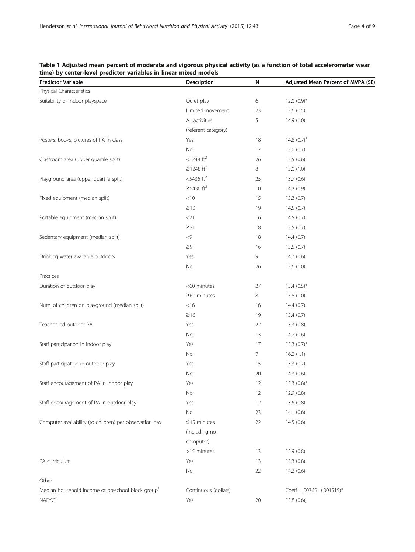| <b>Predictor Variable</b>                                     | Description              | N                            | Adjusted Mean Percent of MVPA (SE) |
|---------------------------------------------------------------|--------------------------|------------------------------|------------------------------------|
| Physical Characteristics                                      |                          |                              |                                    |
| Suitability of indoor playspace                               | Quiet play               | 6                            | $12.0(0.9)*$                       |
|                                                               | Limited movement         | 23                           | 13.6(0.5)                          |
|                                                               | All activities           | 5                            | 14.9(1.0)                          |
|                                                               | (referent category)      |                              |                                    |
| Posters, books, pictures of PA in class                       | Yes                      | 18                           | 14.8 $(0.7)^+$                     |
|                                                               | No                       | 17                           | 13.0(0.7)                          |
| Classroom area (upper quartile split)                         | $<$ 1248 $ft2$           | 26                           | 13.5(0.6)                          |
|                                                               | $≥$ 1248 ft <sup>2</sup> | 8                            | 15.0 (1.0)                         |
| Playground area (upper quartile split)                        | $<$ 5436 ft <sup>2</sup> | 25                           | 13.7(0.6)                          |
|                                                               | $≥$ 5436 ft <sup>2</sup> | 10 <sup>°</sup>              | 14.3(0.9)                          |
| Fixed equipment (median split)                                | $<10$                    | 15                           | 13.3(0.7)                          |
|                                                               | $\geq 10$                | 19                           | 14.5(0.7)                          |
| Portable equipment (median split)                             | $<$ 21                   | 16                           | 14.5(0.7)                          |
|                                                               | $\geq$ 21                | 18                           | 13.5(0.7)                          |
| Sedentary equipment (median split)                            | $< 9$                    | 18                           | 14.4(0.7)                          |
|                                                               | $\geq$ 9                 | 16                           | 13.5(0.7)                          |
| Drinking water available outdoors                             | Yes                      | 9                            | 14.7(0.6)                          |
|                                                               | No                       | 26                           | 13.6(1.0)                          |
| Practices                                                     |                          |                              |                                    |
| Duration of outdoor play                                      | <60 minutes              | 27                           | $13.4(0.5)$ *                      |
|                                                               | $\geq$ 60 minutes        | 8                            | 15.8 (1.0)                         |
| Num. of children on playground (median split)                 | $<$ 16                   | 16                           | 14.4(0.7)                          |
|                                                               | $\geq 16$                | 19                           | 13.4(0.7)                          |
| Teacher-led outdoor PA                                        | Yes                      | 22                           | 13.3(0.8)                          |
|                                                               | No                       | 13                           | 14.2(0.6)                          |
| Staff participation in indoor play                            | Yes                      | 17                           | $13.3 (0.7)^*$                     |
|                                                               | No                       | 7                            | 16.2(1.1)                          |
| Staff participation in outdoor play                           | Yes                      | 15                           | 13.3(0.7)                          |
|                                                               | No                       | 20                           | 14.3(0.6)                          |
| Staff encouragement of PA in indoor play                      | Yes                      | 12                           | $15.3(0.8)$ *                      |
|                                                               | No                       | 12                           | 12.9 (0.8)                         |
| Staff encouragement of PA in outdoor play                     | Yes                      | 12                           | 13.5 (0.8)                         |
|                                                               | No                       | 23                           | 14.1(0.6)                          |
| Computer availability (to children) per observation day       | $\leq$ 15 minutes        | 22                           | 14.5(0.6)                          |
|                                                               | (including no            |                              |                                    |
|                                                               | computer)                |                              |                                    |
|                                                               | >15 minutes              | 13                           | 12.9(0.8)                          |
| PA curriculum                                                 | Yes                      | 13                           | 13.3(0.8)                          |
|                                                               | No                       | 22                           | 14.2(0.6)                          |
| Other                                                         |                          |                              |                                    |
| Median household income of preschool block group <sup>1</sup> | Continuous (dollars)     | Coeff = $.003651$ (.001515)* |                                    |
| NAEYC <sup>2</sup>                                            | Yes                      | 20                           | 13.8(0.6)                          |
|                                                               |                          |                              |                                    |

# <span id="page-3-0"></span>Table 1 Adjusted mean percent of moderate and vigorous physical activity (as a function of total accelerometer wear time) by center-level predictor variables in linear mixed models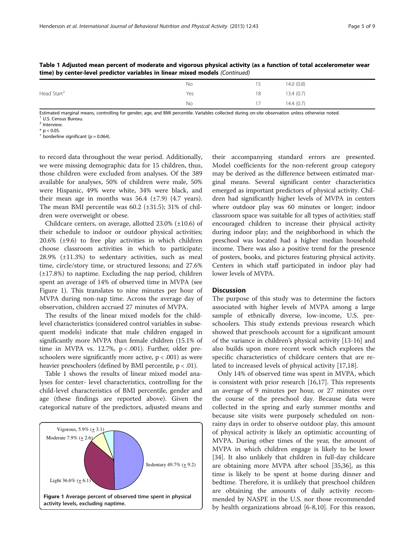|                         | No. | 15 | 14.0(0.8) |  |  |  |
|-------------------------|-----|----|-----------|--|--|--|
| Head Start <sup>2</sup> | Yes | 18 | 13.4(0.7) |  |  |  |
|                         | No  | 17 | 14.4(0.7) |  |  |  |

Table 1 Adjusted mean percent of moderate and vigorous physical activity (as a function of total accelerometer wear time) by center-level predictor variables in linear mixed models (Continued)

Estimated marginal means, controlling for gender, age, and BMI percentile. Variables collected during on-site observation unless otherwise noted.<br><sup>1</sup> U.S. Census Bureau.

<sup>2</sup> Interview.  $*$  p < 0.05.

 $\frac{1}{2}$  borderline significant (p = 0.064).

to record data throughout the wear period. Additionally, we were missing demographic data for 15 children, thus, those children were excluded from analyses. Of the 389 available for analyses, 50% of children were male, 50% were Hispanic, 49% were white, 34% were black, and their mean age in months was  $56.4$  ( $\pm$ 7.9) (4.7 years). The mean BMI percentile was  $60.2$  ( $\pm 31.5$ ); 31% of children were overweight or obese.

Childcare centers, on average, allotted  $23.0\%$  ( $\pm 10.6$ ) of their schedule to indoor or outdoor physical activities; 20.6% (±9.6) to free play activities in which children choose classroom activities in which to participate; 28.9% (±11.3%) to sedentary activities, such as meal time, circle/story time, or structured lessons; and 27.6% (±17.8%) to naptime. Excluding the nap period, children spent an average of 14% of observed time in MVPA (see Figure 1). This translates to nine minutes per hour of MVPA during non-nap time. Across the average day of observation, children accrued 27 minutes of MVPA.

The results of the linear mixed models for the childlevel characteristics (considered control variables in subsequent models) indicate that male children engaged in significantly more MVPA than female children (15.1% of time in MVPA vs. 12.7%,  $p < .001$ ). Further, older preschoolers were significantly more active,  $p < .001$ ) as were heavier preschoolers (defined by BMI percentile,  $p < .01$ ).

Table [1](#page-3-0) shows the results of linear mixed model analyses for center- level characteristics, controlling for the child-level characteristics of BMI percentile, gender and age (these findings are reported above). Given the categorical nature of the predictors, adjusted means and



their accompanying standard errors are presented. Model coefficients for the non-referent group category may be derived as the difference between estimated marginal means. Several significant center characteristics emerged as important predictors of physical activity. Children had significantly higher levels of MVPA in centers where outdoor play was 60 minutes or longer; indoor classroom space was suitable for all types of activities; staff encouraged children to increase their physical activity during indoor play; and the neighborhood in which the preschool was located had a higher median household income. There was also a positive trend for the presence of posters, books, and pictures featuring physical activity. Centers in which staff participated in indoor play had lower levels of MVPA.

#### **Discussion**

The purpose of this study was to determine the factors associated with higher levels of MVPA among a large sample of ethnically diverse, low-income, U.S. preschoolers. This study extends previous research which showed that preschools account for a significant amount of the variance in children's physical activity [[13-16](#page-7-0)] and also builds upon more recent work which explores the specific characteristics of childcare centers that are related to increased levels of physical activity [[17,18\]](#page-7-0).

Only 14% of observed time was spent in MVPA, which is consistent with prior research [[16](#page-7-0),[17](#page-7-0)]. This represents an average of 9 minutes per hour, or 27 minutes over the course of the preschool day. Because data were collected in the spring and early summer months and because site visits were purposely scheduled on nonrainy days in order to observe outdoor play, this amount of physical activity is likely an optimistic accounting of MVPA. During other times of the year, the amount of MVPA in which children engage is likely to be lower [[34\]](#page-7-0). It also unlikely that children in full-day childcare are obtaining more MVPA after school [\[35,36](#page-7-0)], as this time is likely to be spent at home during dinner and bedtime. Therefore, it is unlikely that preschool children are obtaining the amounts of daily activity recommended by NASPE in the U.S. nor those recommended by health organizations abroad [\[6](#page-7-0)-[8,10\]](#page-7-0). For this reason,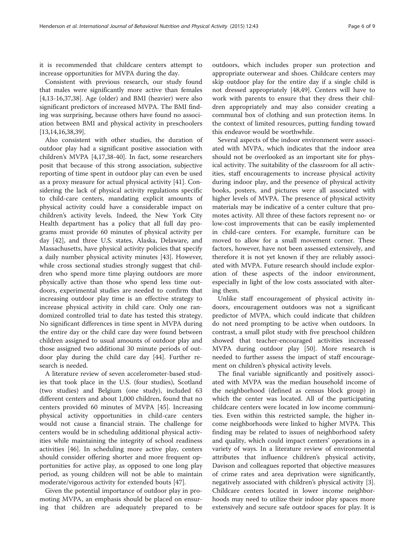it is recommended that childcare centers attempt to increase opportunities for MVPA during the day.

Consistent with previous research, our study found that males were significantly more active than females [[4,13-16,37,38](#page-7-0)]. Age (older) and BMI (heavier) were also significant predictors of increased MVPA. The BMI finding was surprising, because others have found no association between BMI and physical activity in preschoolers [[13,14,16,38,39\]](#page-7-0).

Also consistent with other studies, the duration of outdoor play had a significant positive association with children's MVPA [\[4,17,38-40](#page-7-0)]. In fact, some researchers posit that because of this strong association, subjective reporting of time spent in outdoor play can even be used as a proxy measure for actual physical activity [[41](#page-7-0)]. Considering the lack of physical activity regulations specific to child-care centers, mandating explicit amounts of physical activity could have a considerable impact on children's activity levels. Indeed, the New York City Health department has a policy that all full day programs must provide 60 minutes of physical activity per day [[42\]](#page-7-0), and three U.S. states, Alaska, Delaware, and Massachusetts, have physical activity policies that specify a daily number physical activity minutes [\[43](#page-7-0)]. However, while cross sectional studies strongly suggest that children who spend more time playing outdoors are more physically active than those who spend less time outdoors, experimental studies are needed to confirm that increasing outdoor play time is an effective strategy to increase physical activity in child care. Only one randomized controlled trial to date has tested this strategy. No significant differences in time spent in MVPA during the entire day or the child care day were found between children assigned to usual amounts of outdoor play and those assigned two additional 30 minute periods of outdoor play during the child care day [[44](#page-7-0)]. Further research is needed.

A literature review of seven accelerometer-based studies that took place in the U.S. (four studies), Scotland (two studies) and Belgium (one study), included 63 different centers and about 1,000 children, found that no centers provided 60 minutes of MVPA [\[45\]](#page-8-0). Increasing physical activity opportunities in child-care centers would not cause a financial strain. The challenge for centers would be in scheduling additional physical activities while maintaining the integrity of school readiness activities [\[46](#page-8-0)]. In scheduling more active play, centers should consider offering shorter and more frequent opportunities for active play, as opposed to one long play period, as young children will not be able to maintain moderate/vigorous activity for extended bouts [[47\]](#page-8-0).

Given the potential importance of outdoor play in promoting MVPA, an emphasis should be placed on ensuring that children are adequately prepared to be

outdoors, which includes proper sun protection and appropriate outerwear and shoes. Childcare centers may skip outdoor play for the entire day if a single child is not dressed appropriately [\[48,49\]](#page-8-0). Centers will have to work with parents to ensure that they dress their children appropriately and may also consider creating a communal box of clothing and sun protection items. In the context of limited resources, putting funding toward this endeavor would be worthwhile.

Several aspects of the indoor environment were associated with MVPA, which indicates that the indoor area should not be overlooked as an important site for physical activity. The suitability of the classroom for all activities, staff encouragements to increase physical activity during indoor play, and the presence of physical activity books, posters, and pictures were all associated with higher levels of MVPA. The presence of physical activity materials may be indicative of a center culture that promotes activity. All three of these factors represent no- or low-cost improvements that can be easily implemented in child-care centers. For example, furniture can be moved to allow for a small movement corner. These factors, however, have not been assessed extensively, and therefore it is not yet known if they are reliably associated with MVPA. Future research should include exploration of these aspects of the indoor environment, especially in light of the low costs associated with altering them.

Unlike staff encouragement of physical activity indoors, encouragement outdoors was not a significant predictor of MVPA, which could indicate that children do not need prompting to be active when outdoors. In contrast, a small pilot study with five preschool children showed that teacher-encouraged activities increased MVPA during outdoor play [[50\]](#page-8-0). More research is needed to further assess the impact of staff encouragement on children's physical activity levels.

The final variable significantly and positively associated with MVPA was the median household income of the neighborhood (defined as census block group) in which the center was located. All of the participating childcare centers were located in low income communities. Even within this restricted sample, the higher income neighborhoods were linked to higher MVPA. This finding may be related to issues of neighborhood safety and quality, which could impact centers' operations in a variety of ways. In a literature review of environmental attributes that influence children's physical activity, Davison and colleagues reported that objective measures of crime rates and area deprivation were significantly, negatively associated with children's physical activity [\[3](#page-7-0)]. Childcare centers located in lower income neighborhoods may need to utilize their indoor play spaces more extensively and secure safe outdoor spaces for play. It is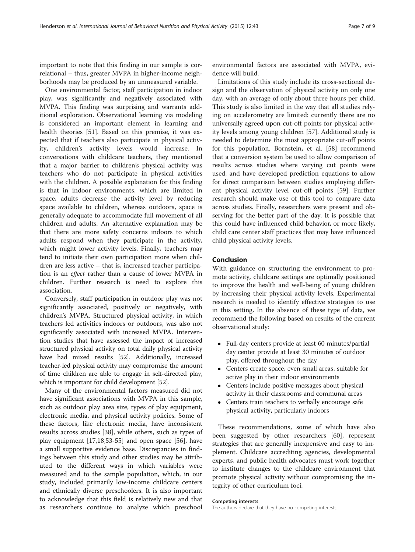important to note that this finding in our sample is correlational – thus, greater MVPA in higher-income neighborhoods may be produced by an unmeasured variable.

One environmental factor, staff participation in indoor play, was significantly and negatively associated with MVPA. This finding was surprising and warrants additional exploration. Observational learning via modeling is considered an important element in learning and health theories [\[51](#page-8-0)]. Based on this premise, it was expected that if teachers also participate in physical activity, children's activity levels would increase. In conversations with childcare teachers, they mentioned that a major barrier to children's physical activity was teachers who do not participate in physical activities with the children. A possible explanation for this finding is that in indoor environments, which are limited in space, adults decrease the activity level by reducing space available to children, whereas outdoors, space is generally adequate to accommodate full movement of all children and adults. An alternative explanation may be that there are more safety concerns indoors to which adults respond when they participate in the activity, which might lower activity levels. Finally, teachers may tend to initiate their own participation more when children are less active – that is, increased teacher participation is an effect rather than a cause of lower MVPA in children. Further research is need to explore this association.

Conversely, staff participation in outdoor play was not significantly associated, positively or negatively, with children's MVPA. Structured physical activity, in which teachers led activities indoors or outdoors, was also not significantly associated with increased MVPA. Intervention studies that have assessed the impact of increased structured physical activity on total daily physical activity have had mixed results [[52](#page-8-0)]. Additionally, increased teacher-led physical activity may compromise the amount of time children are able to engage in self-directed play, which is important for child development [[52](#page-8-0)].

Many of the environmental factors measured did not have significant associations with MVPA in this sample, such as outdoor play area size, types of play equipment, electronic media, and physical activity policies. Some of these factors, like electronic media, have inconsistent results across studies [[38\]](#page-7-0), while others, such as types of play equipment [[17](#page-7-0),[18](#page-7-0),[53](#page-8-0)-[55\]](#page-8-0) and open space [\[56](#page-8-0)], have a small supportive evidence base. Discrepancies in findings between this study and other studies may be attributed to the different ways in which variables were measured and to the sample population, which, in our study, included primarily low-income childcare centers and ethnically diverse preschoolers. It is also important to acknowledge that this field is relatively new and that as researchers continue to analyze which preschool

environmental factors are associated with MVPA, evidence will build.

Limitations of this study include its cross-sectional design and the observation of physical activity on only one day, with an average of only about three hours per child. This study is also limited in the way that all studies relying on accelerometry are limited: currently there are no universally agreed upon cut-off points for physical activity levels among young children [[57](#page-8-0)]. Additional study is needed to determine the most appropriate cut-off points for this population. Bornstein, et al. [\[58\]](#page-8-0) recommend that a conversion system be used to allow comparison of results across studies where varying cut points were used, and have developed prediction equations to allow for direct comparison between studies employing different physical activity level cut-off points [\[59\]](#page-8-0). Further research should make use of this tool to compare data across studies. Finally, researchers were present and observing for the better part of the day. It is possible that this could have influenced child behavior, or more likely, child care center staff practices that may have influenced child physical activity levels.

# Conclusion

With guidance on structuring the environment to promote activity, childcare settings are optimally positioned to improve the health and well-being of young children by increasing their physical activity levels. Experimental research is needed to identify effective strategies to use in this setting. In the absence of these type of data, we recommend the following based on results of the current observational study:

- Full-day centers provide at least 60 minutes/partial day center provide at least 30 minutes of outdoor play, offered throughout the day
- Centers create space, even small areas, suitable for active play in their indoor environments
- Centers include positive messages about physical activity in their classrooms and communal areas
- Centers train teachers to verbally encourage safe physical activity, particularly indoors

These recommendations, some of which have also been suggested by other researchers [\[60](#page-8-0)], represent strategies that are generally inexpensive and easy to implement. Childcare accrediting agencies, developmental experts, and public health advocates must work together to institute changes to the childcare environment that promote physical activity without compromising the integrity of other curriculum foci.

#### Competing interests

The authors declare that they have no competing interests.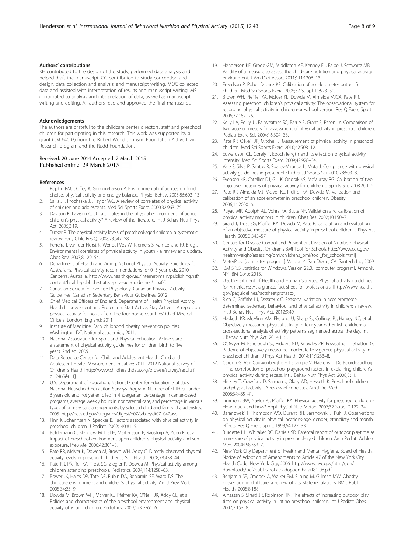#### <span id="page-7-0"></span>Authors' contributions

KH contributed to the design of the study, performed data analysis and helped draft the manuscript. GG contributed to study conception and design, data collection and analysis, and manuscript writing. MOC collected data and assisted with interpretation of results and manuscript writing. MS contributed to analysis and interpretation of data, as well as manuscript writing and editing. All authors read and approved the final manuscript.

#### Acknowledgements

The authors are grateful to the childcare center directors, staff and preschool children for participating in this research. This work was supported by a grant (ID# 64093) from the Robert Wood Johnson Foundation Active Living Research program and the Rudd Foundation.

#### Received: 20 June 2014 Accepted: 2 March 2015 Published online: 29 March 2015

#### References

- 1. Popkin BM, Duffey K, Gordon-Larsen P. Environmental influences on food choice, physical activity and energy balance. Physiol Behav. 2005;86:603–13.
- 2. Sallis JF, Prochaska JJ, Taylor WC. A review of correlates of physical activity of children and adolescents. Med Sci Sports Exerc. 2000;32:963–75.
- 3. Davison K, Lawson C. Do attributes in the physical environment influence children's physical activity? A review of the literature. Int J Behav Nutr Phys Act. 2006;3:19.
- 4. Tucker P. The physical activity levels of preschool-aged children: a systematic review. Early Child Res Q. 2008;23:547–58.
- 5. Ferreira I, van der Horst K, Wendel-Vos W, Kremers S, van Lenthe FJ, Brug J. Environmental correlates of physical activity in youth - a review and update. Obes Rev. 2007;8:129–54.
- 6. Department of Health and Aging: National Physical Activity Guidelines for Australians. Physical activity recommendations for 0–5 year olds. 2010, Canberra, Australia. [http://www.health.gov.au/internet/main/publishing.nsf/](http://www.health.gov.au/internet/main/publishing.nsf/content/health-pubhlth-strateg-phys-act-guidelines#npa05) [content/health-pubhlth-strateg-phys-act-guidelines#npa05](http://www.health.gov.au/internet/main/publishing.nsf/content/health-pubhlth-strateg-phys-act-guidelines#npa05)
- 7. Canadian Society for Exercise Physiology. Canadian Physical Activity Guidelines, Canadian Sedentary Behaviour Guidelines. 2012.
- 8. Chief Medical Officers of England, Department of Health Physical Activity Health Improvement and Protection. Start Active, Stay Active – A report on physical activity for health from the four home countries' Chief Medical Officers. London, England; 2011
- 9. Institute of Medicine. Early childhood obesity prevention policies. Washington, DC: National academies; 2011.
- 10. National Association for Sport and Physical Education. Active start: a statement of physical activity guidelines for children birth to five years. 2nd ed. 2009.
- 11. Data Resource Center for Child and Adolescent Health. Child and Adolescent Health Measurement Initiative: 2011–2012 National Survey of Children's Health.[[http://www.childhealthdata.org/browse/survey/results?](http://www.childhealthdata.org/browse/survey/results?q=2465&r=1) [q=2465&r=1](http://www.childhealthdata.org/browse/survey/results?q=2465&r=1)]
- 12. U.S. Department of Education, National Center for Education Statistics. National Household Education Surveys Program: Number of children under 6 years old and not yet enrolled in kindergarten, percentage in center-based programs, average weekly hours in nonparental care, and percentage in various types of primary care arrangements, by selected child and family characteristics: 2005 [\[http://nces.ed.gov/programs/digest/d07/tables/dt07\\_042.asp\]](http://nces.ed.gov/programs/digest/d07/tables/dt07_042.asp)
- 13. Finn K, Johannsen N, Specker B. Factors associated with physical activity in preschool children. J Pediatr. 2002;140:81–5.
- 14. Boldemann C, Blennow M, Dal H, Martensson F, Raustorp A, Yuen K, et al. Impact of preschool environment upon children's physical activity and sun exposure. Prev Me. 2006;42:301–8.
- 15. Pate RR, McIver K, Dowda M, Brown WH, Addy C. Directly observed physical activity levels in preschool children. J Sch Health. 2008;78:438–44.
- 16. Pate RR, Pfeiffer KA, Trost SG, Ziegler P, Dowda M. Physical activity among children attending preschools. Pediatrics. 2004;114:1258–63.
- 17. Bower JK, Hales DP, Tate DF, Rubin DA, Benjamin SE, Ward DS. The childcare environment and children's physical activity. Am J Prev Med. 2008;34:23–9.
- 18. Dowda M, Brown WH, McIver KL, Pfeiffer KA, O'Neill JR, Addy CL, et al. Policies and characteristics of the preschool environment and physical activity of young children. Pediatrics. 2009;123:e261–6.
- 19. Henderson KE, Grode GM, Middleton AE, Kenney EL, Falbe J, Schwartz MB. Validity of a measure to assess the child-care nutrition and physical activity environment. J Am Diet Assoc. 2011;111:1306–13.
- 20. Freedson P, Pober D, Janz KF. Calibration of accelerometer output for children. Med Sci Sports Exerc. 2005;37 Suppl 11:523–30.
- 21. Brown WH, Pfeiffer KA, McIver KL, Dowda M, Almeida MJCA, Pate RR. Assessing preschool children's physical activity: The observational system for recording physical activity in children-preschool version. Res Q Exerc Sport. 2006;77:167–76.
- 22. Kelly LA, Reilly JJ, Fairweather SC, Barrie S, Grant S, Paton JY. Comparison of two accelerometers for assessment of physical activity in preschool children. Pediatr Exerc Sci. 2004;16:324–33.
- 23. Pate RR, O'Neill JR, Mitchell J. Measurement of physical activity in preschool children. Med Sci Sports Exerc. 2010;42:508–12.
- 24. Edwardson CL, Gorely T. Epoch length and its effect on physical activity intensity. Med Sci Sports Exerc. 2009;42:928–34.
- 25. Vale S, Silva P, Santos R, Soares-Miranda L, Mota J. Compliance with physical activity guidelines in preschool children. J Sports Sci. 2010;28:603–8.
- 26. Evenson KR, Catellier DJ, Gill K, Ondrak KS, McMurray RG. Calibration of two objective measures of physical activity for children. J Sports Sci. 2008;26:1–9.
- 27. Pate RR, Almeida MJ, McIver KL, Pfeiffer KA, Dowda M. Validation and calibration of an accelerometer in preschool children. Obesity. 2006;14:2000–6.
- 28. Puyau MR, Adolph AL, Vohra FA, Butte NF. Validation and calibration of physical activity monitors in children. Obes Res. 2002;10:150–7.
- 29. Sirard J, Trost SG, Pfeiffer KA, Dowda M, Pate R. Calibration and evaluation of an objective measure of physical activity in preschool children. J Phys Act Health. 2005;3:345–57.
- 30. Centers for Disease Control and Prevention, Division of Nutrition Physical Activity and Obesity. Children's BMI Tool for Schools[[http://www.cdc.gov/](http://www.cdc.gov/healthyweight/assessing/bmi/childrens_bmi/tool_for_schools.html) [healthyweight/assessing/bmi/childrens\\_bmi/tool\\_for\\_schools.html](http://www.cdc.gov/healthyweight/assessing/bmi/childrens_bmi/tool_for_schools.html)]
- 31. MeterPlus. [computer program]. Version 4. San Diego, CA: Santech Inc; 2009.
- 32. IBM SPSS Statistics for Windows. Version 22.0. [computer program]. Armonk, NY: IBM Corp; 2013.
- 33. U.S. Department of Health and Human Services. Physical activity guidelines for Americans: At a glance, fact sheet for professionals. [[http://www.health.](http://www.health.gov/paguidelines/factsheetprof.aspx) [gov/paguidelines/factsheetprof.aspx\]](http://www.health.gov/paguidelines/factsheetprof.aspx)
- 34. Rich C, Griffiths LJ, Dezateux C. Seasonal variation in accelerometerdetermined sedentary behaviour and physical activity in children: a review. Int J Behav Nutr Phys Act. 2012;9:49.
- 35. Hesketh KR, McMinn AM, Ekelund U, Sharp SJ, Collings PJ, Harvey NC, et al. Objectively measured physical activity in four-year-old British children: a cross-sectional analysis of activity patterns segmented across the day. Int J Behav Nutr Phys Act. 2014;11:1.
- 36. O'Dwyer M, Fairclough SJ, Ridgers ND, Knowles ZR, Foweather L, Stratton G. Patterns of objectively measured moderate-to-vigorous physical activity in preschool children. J Phys Act Health. 2014;11:1233–8.
- 37. Cardon G, Van Cauwenberghe E, Labarque V, Haerens L, De Bourdeaudhuij I. The contribution of preschool playground factors in explaining children's physical activity during recess. Int J Behav Nutr Phys Act. 2008;5:11.
- 38. Hinkley T, Crawford D, Salmon J, Okely AD, Hesketh K. Preschool children and physical activity - A review of correlates. Am J PrevMed. 2008;34:435–41.
- Timmons BW, Naylor PJ, Pfeiffer KA. Physical activity for preschool children -How much and how? Appl Physiol Nutr Metab. 2007;32 Suppl 2:122–34.
- 40. Baranowski T, Thompson WO, Durant RH, Baranowski J, Puhl J. Observations on physical activity in physical locations-age, gender, ethnciicty and month effects. Res Q Exerc Sport. 1993;64:127–33.
- 41. Burdette HL, Whitaker RC, Daniels SR. Parental report of outdoor playtime as a measure of physical activity in preschool-aged children. Arch Pediatr Adolesc Med. 2004;158:353–7.
- 42. New York City Department of Health and Mental Hygiene, Board of Health. Notice of Adoption of Amendments to Article 47 of the New York City Health Code. New York City, 2006. [http://www.nyc.gov/html/doh/](http://www.nyc.gov/html/doh/downloads/pdf/public/notice-adoption-hc-art81-08.pdf) [downloads/pdf/public/notice-adoption-hc-art81-08.pdf](http://www.nyc.gov/html/doh/downloads/pdf/public/notice-adoption-hc-art81-08.pdf)
- 43. Benjamin SE, Cradock A, Walker EM, Slining M, Gillman MW. Obesity prevention in childcare: a review of U.S. state regulations. BMC Public Health. 2008;8:188.
- 44. Alhassan S, Sirard JR, Robinson TN. The effects of increasing outdoor play time on physical activity in Latino preschool children. Int J Pediatr Obes. 2007;2:153–8.